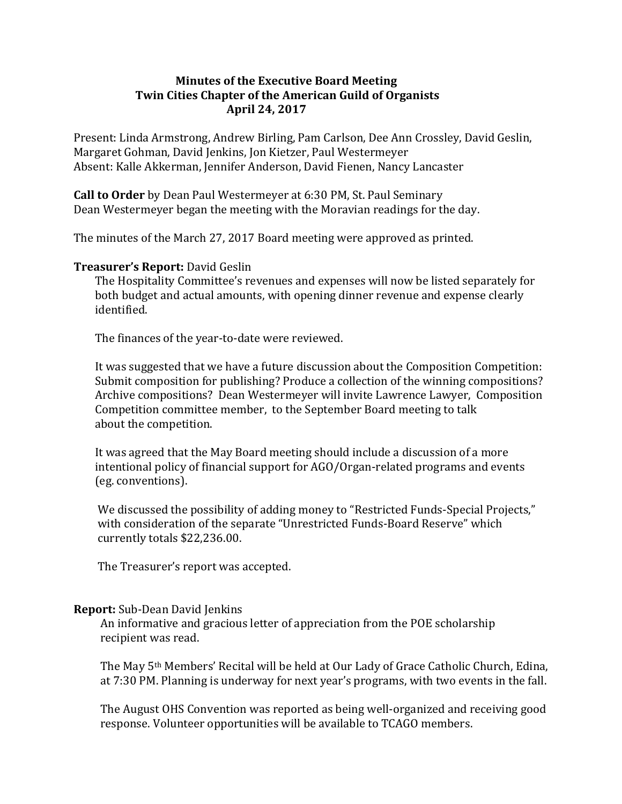## **Minutes of the Executive Board Meeting Twin Cities Chapter of the American Guild of Organists April 24, 2017**

Present: Linda Armstrong, Andrew Birling, Pam Carlson, Dee Ann Crossley, David Geslin, Margaret Gohman, David Jenkins, Jon Kietzer, Paul Westermeyer Absent: Kalle Akkerman, Jennifer Anderson, David Fienen, Nancy Lancaster

**Call to Order** by Dean Paul Westermeyer at 6:30 PM, St. Paul Seminary Dean Westermeyer began the meeting with the Moravian readings for the day.

The minutes of the March 27, 2017 Board meeting were approved as printed.

## **Treasurer's Report: David Geslin**

The Hospitality Committee's revenues and expenses will now be listed separately for both budget and actual amounts, with opening dinner revenue and expense clearly identified. 

The finances of the year-to-date were reviewed.

It was suggested that we have a future discussion about the Composition Competition: Submit composition for publishing? Produce a collection of the winning compositions? Archive compositions? Dean Westermeyer will invite Lawrence Lawyer, Composition Competition committee member, to the September Board meeting to talk about the competition.

It was agreed that the May Board meeting should include a discussion of a more intentional policy of financial support for AGO/Organ-related programs and events (eg. conventions).

We discussed the possibility of adding money to "Restricted Funds-Special Projects," with consideration of the separate "Unrestricted Funds-Board Reserve" which currently totals \$22,236.00.

The Treasurer's report was accepted.

## **Report:** Sub-Dean David Jenkins

An informative and gracious letter of appreciation from the POE scholarship recipient was read.

The May 5<sup>th</sup> Members' Recital will be held at Our Lady of Grace Catholic Church, Edina, at 7:30 PM. Planning is underway for next year's programs, with two events in the fall.

The August OHS Convention was reported as being well-organized and receiving good response. Volunteer opportunities will be available to TCAGO members.